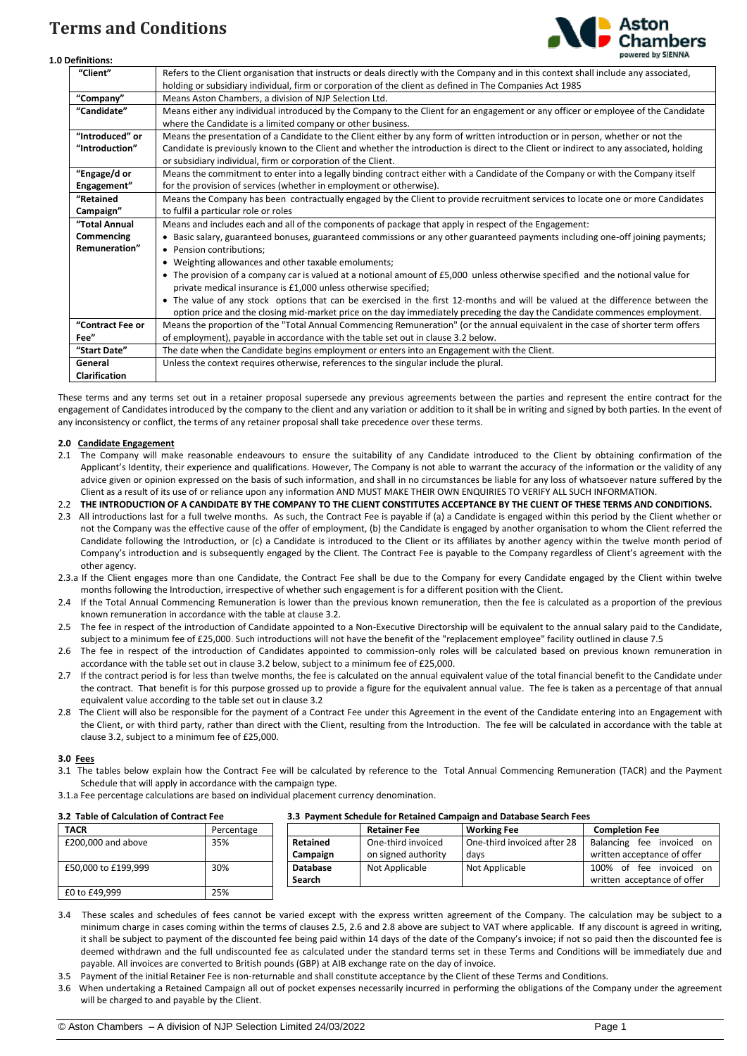# **Terms and Conditions**



#### **1.0 Definitions:**

| "Client"             | Refers to the Client organisation that instructs or deals directly with the Company and in this context shall include any associated,<br>holding or subsidiary individual, firm or corporation of the client as defined in The Companies Act 1985 |
|----------------------|---------------------------------------------------------------------------------------------------------------------------------------------------------------------------------------------------------------------------------------------------|
| "Company"            | Means Aston Chambers, a division of NJP Selection Ltd.                                                                                                                                                                                            |
| "Candidate"          | Means either any individual introduced by the Company to the Client for an engagement or any officer or employee of the Candidate                                                                                                                 |
|                      | where the Candidate is a limited company or other business.                                                                                                                                                                                       |
| "Introduced" or      | Means the presentation of a Candidate to the Client either by any form of written introduction or in person, whether or not the                                                                                                                   |
| "Introduction"       | Candidate is previously known to the Client and whether the introduction is direct to the Client or indirect to any associated, holding                                                                                                           |
|                      | or subsidiary individual, firm or corporation of the Client.                                                                                                                                                                                      |
| "Engage/d or         | Means the commitment to enter into a legally binding contract either with a Candidate of the Company or with the Company itself                                                                                                                   |
| Engagement"          | for the provision of services (whether in employment or otherwise).                                                                                                                                                                               |
| "Retained            | Means the Company has been contractually engaged by the Client to provide recruitment services to locate one or more Candidates                                                                                                                   |
| Campaign"            | to fulfil a particular role or roles                                                                                                                                                                                                              |
| "Total Annual        | Means and includes each and all of the components of package that apply in respect of the Engagement:                                                                                                                                             |
| Commencing           | • Basic salary, guaranteed bonuses, guaranteed commissions or any other guaranteed payments including one-off joining payments;                                                                                                                   |
| Remuneration"        | • Pension contributions:                                                                                                                                                                                                                          |
|                      | • Weighting allowances and other taxable emoluments;                                                                                                                                                                                              |
|                      | • The provision of a company car is valued at a notional amount of £5,000 unless otherwise specified and the notional value for                                                                                                                   |
|                      | private medical insurance is £1,000 unless otherwise specified;                                                                                                                                                                                   |
|                      | • The value of any stock options that can be exercised in the first 12-months and will be valued at the difference between the                                                                                                                    |
|                      | option price and the closing mid-market price on the day immediately preceding the day the Candidate commences employment.                                                                                                                        |
| "Contract Fee or     | Means the proportion of the "Total Annual Commencing Remuneration" (or the annual equivalent in the case of shorter term offers                                                                                                                   |
| Fee"                 | of employment), payable in accordance with the table set out in clause 3.2 below.                                                                                                                                                                 |
| "Start Date"         | The date when the Candidate begins employment or enters into an Engagement with the Client.                                                                                                                                                       |
| General              | Unless the context requires otherwise, references to the singular include the plural.                                                                                                                                                             |
| <b>Clarification</b> |                                                                                                                                                                                                                                                   |

These terms and any terms set out in a retainer proposal supersede any previous agreements between the parties and represent the entire contract for the engagement of Candidates introduced by the company to the client and any variation or addition to it shall be in writing and signed by both parties. In the event of any inconsistency or conflict, the terms of any retainer proposal shall take precedence over these terms.

### **2.0 Candidate Engagement**

- 2.1 The Company will make reasonable endeavours to ensure the suitability of any Candidate introduced to the Client by obtaining confirmation of the Applicant's Identity, their experience and qualifications. However, The Company is not able to warrant the accuracy of the information or the validity of any advice given or opinion expressed on the basis of such information, and shall in no circumstances be liable for any loss of whatsoever nature suffered by the Client as a result of its use of or reliance upon any information AND MUST MAKE THEIR OWN ENQUIRIES TO VERIFY ALL SUCH INFORMATION.
- 2.2 **THE INTRODUCTION OF A CANDIDATE BY THE COMPANY TO THE CLIENT CONSTITUTES ACCEPTANCE BY THE CLIENT OF THESE TERMS AND CONDITIONS.**
- 2.3 All introductions last for a full twelve months. As such, the Contract Fee is payable if (a) a Candidate is engaged within this period by the Client whether or not the Company was the effective cause of the offer of employment, (b) the Candidate is engaged by another organisation to whom the Client referred the Candidate following the Introduction, or (c) a Candidate is introduced to the Client or its affiliates by another agency within the twelve month period of Company's introduction and is subsequently engaged by the Client. The Contract Fee is payable to the Company regardless of Client's agreement with the other agency.
- 2.3.a If the Client engages more than one Candidate, the Contract Fee shall be due to the Company for every Candidate engaged by the Client within twelve months following the Introduction, irrespective of whether such engagement is for a different position with the Client.
- 2.4 If the Total Annual Commencing Remuneration is lower than the previous known remuneration, then the fee is calculated as a proportion of the previous known remuneration in accordance with the table at clause 3.2.
- 2.5 The fee in respect of the introduction of Candidate appointed to a Non-Executive Directorship will be equivalent to the annual salary paid to the Candidate, subject to a minimum fee of £25,000. Such introductions will not have the benefit of the "replacement employee" facility outlined in clause 7.5
- 2.6 The fee in respect of the introduction of Candidates appointed to commission-only roles will be calculated based on previous known remuneration in accordance with the table set out in clause 3.2 below, subject to a minimum fee of £25,000.
- 2.7 If the contract period is for less than twelve months, the fee is calculated on the annual equivalent value of the total financial benefit to the Candidate under the contract. That benefit is for this purpose grossed up to provide a figure for the equivalent annual value. The fee is taken as a percentage of that annual equivalent value according to the table set out in clause 3.2
- 2.8 The Client will also be responsible for the payment of a Contract Fee under this Agreement in the event of the Candidate entering into an Engagement with the Client, or with third party, rather than direct with the Client, resulting from the Introduction. The fee will be calculated in accordance with the table at clause 3.2, subject to a minimum fee of £25,000.

## **3.0 Fees**

- 3.1 The tables below explain how the Contract Fee will be calculated by reference to the Total Annual Commencing Remuneration (TACR) and the Payment Schedule that will apply in accordance with the campaign type.
- 3.1.a Fee percentage calculations are based on individual placement currency denomination.

## **3.2 Table of Calculation of Contract Fee 3.3 Payment Schedule for Retained Campaign and Database Search Fees**

| 3.2 Table of Calculation of Contract Fee |            | 3.3 rayment schedule for Retained Campaign and Database Search Fees |                     |                             |                                                        |
|------------------------------------------|------------|---------------------------------------------------------------------|---------------------|-----------------------------|--------------------------------------------------------|
| <b>TACR</b>                              | Percentage |                                                                     | <b>Retainer Fee</b> | <b>Working Fee</b>          | <b>Completion Fee</b>                                  |
| £200,000 and above                       | 35%        | Retained                                                            | One-third invoiced  | One-third invoiced after 28 | Balancing fee invoiced on                              |
|                                          |            | Campaign                                                            | on signed authority | davs                        | written acceptance of offer                            |
| £50,000 to £199,999                      | 30%        | <b>Database</b><br>Search                                           | Not Applicable      | Not Applicable              | 100% of fee invoiced on<br>written acceptance of offer |
| £0 to £49.999                            | 25%        |                                                                     |                     |                             |                                                        |

- 3.4 These scales and schedules of fees cannot be varied except with the express written agreement of the Company. The calculation may be subject to a minimum charge in cases coming within the terms of clauses 2.5, 2.6 and 2.8 above are subject to VAT where applicable. If any discount is agreed in writing, it shall be subject to payment of the discounted fee being paid within 14 days of the date of the Company's invoice; if not so paid then the discounted fee is deemed withdrawn and the full undiscounted fee as calculated under the standard terms set in these Terms and Conditions will be immediately due and payable. All invoices are converted to British pounds (GBP) at AIB exchange rate on the day of invoice.
- 3.5 Payment of the initial Retainer Fee is non-returnable and shall constitute acceptance by the Client of these Terms and Conditions.
- 3.6 When undertaking a Retained Campaign all out of pocket expenses necessarily incurred in performing the obligations of the Company under the agreement will be charged to and payable by the Client.